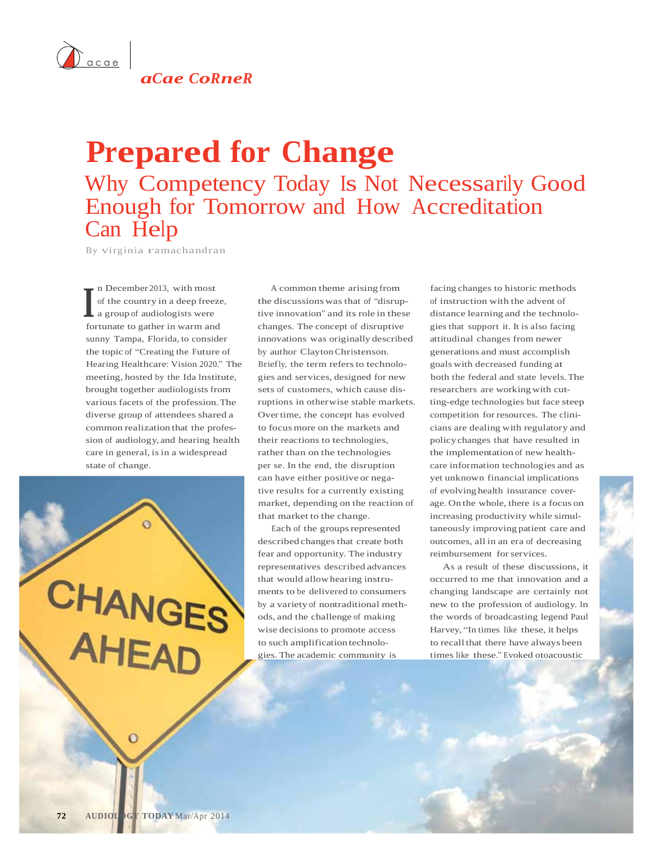

*aCae CoRneR*

## **Prepared for Change** Why Competency Today Is Not Necessarily Good Enough for Tomorrow and How Accreditation Can Help

By virginia ramachandran

**I** of the country in a deep free<br>a group of audiologists were n December 2013, with most of the country in a deep freeze, fortunate to gather in warm and sunny Tampa, Florida, to consider the topic of "Creating the Future of Hearing Healthcare: Vision 2020." The meeting, hosted by the Ida Institute, brought together audiologists from various facets of the profession.The diverse group of attendees shared a common realization that the profession of audiology, and hearing health care in general, is in a widespread state of change.

CHANGES AHEAD

A common theme arising from the discussions was that of "disruptive innovation" and its role in these changes. The concept of disruptive innovations was originally described by author ClaytonChristenson. Briefly, the term refers to technologies and services, designed for new sets of customers, which cause disruptions in otherwise stable markets. Overtime, the concept has evolved to focusmore on the markets and their reactions to technologies, rather than on the technologies per se. In the end, the disruption can have either positive or negative results for a currently existing market, depending on the reaction of that market to the change.

Each of the groups represented described changes that create both fear and opportunity. The industry representatives described advances that would allow hearing instruments to be delivered to consumers by a variety of nontraditional methods, and the challenge of making wise decisions to promote access to such amplification technologies. The academic community is

facing changes to historic methods of instruction with the advent of distance learning and the technologies that support it. It is also facing attitudinal changes from newer generations and must accomplish goals with decreased funding at both the federal and state levels.The researchers are working with cutting-edge technologies but face steep competition for resources. The clinicians are dealing with regulatory and policy changes that have resulted in the implementation of new healthcare information technologies and as yet unknown financial implications of evolving health insurance coverage. On the whole, there is a focus on increasing productivity while simultaneously improving patient care and outcomes, all in an era of decreasing reimbursement for services.

As a result of these discussions, it occurred to me that innovation and a changing landscape are certainly not new to the profession of audiology. In the words of broadcasting legend Paul Harvey, "In times like these, it helps to recall that there have always been times like these." Evoked otoacoustic

 $\Omega$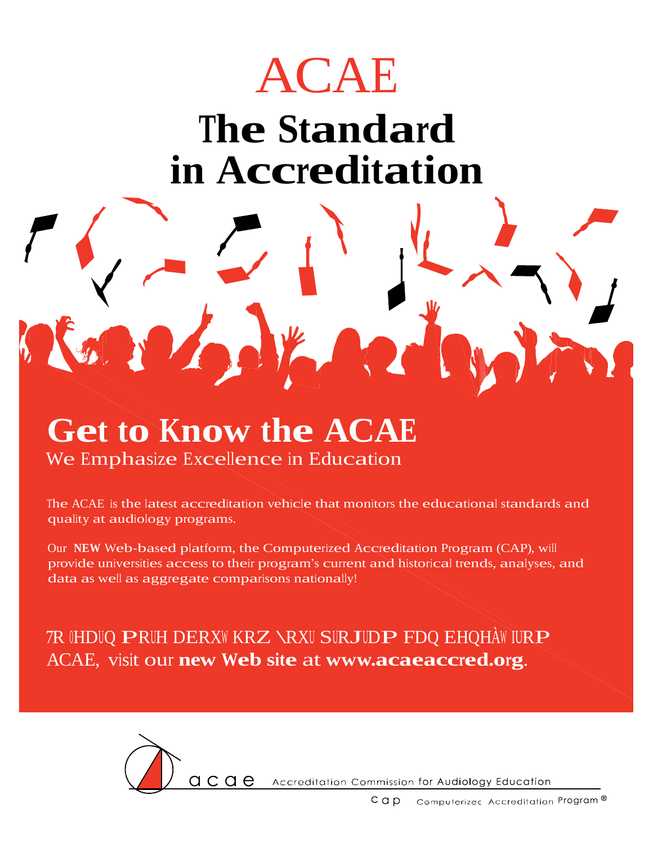

## **The Standard in Accreditation**

## **Get to Know the ACAE** We Emphasize Excellence in Education

The ACAE is the latest accreditation vehicle that monitors the educational standards and quality at audiology programs.

Our **NEW** Web-based platform, the Computerized Accreditation Program (CAP), will provide universities access to their program's current and historical trends, analyses, and data as well as aggregate comparisons nationally!

7R OHDUQ PRUH DERXW KRZ \RXU SURJUDP FDQ EHQHÀW IURP ACAE, visit our **new Web site** at **[www.acaeaccred.org](http://www.acaeaccred.org/)**.